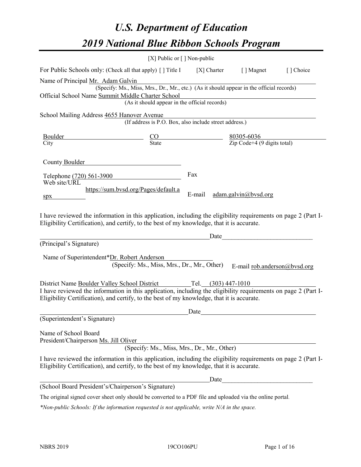# *U.S. Department of Education 2019 National Blue Ribbon Schools Program*

|                                                                                                                                                                                                                                                                                   | [X] Public or $\lceil$ ] Non-public                                                      |               |                              |           |
|-----------------------------------------------------------------------------------------------------------------------------------------------------------------------------------------------------------------------------------------------------------------------------------|------------------------------------------------------------------------------------------|---------------|------------------------------|-----------|
| For Public Schools only: (Check all that apply) [] Title I [X] Charter [] Magnet                                                                                                                                                                                                  |                                                                                          |               |                              | [] Choice |
| Name of Principal Mr. Adam Galvin                                                                                                                                                                                                                                                 |                                                                                          |               |                              |           |
|                                                                                                                                                                                                                                                                                   | (Specify: Ms., Miss, Mrs., Dr., Mr., etc.) (As it should appear in the official records) |               |                              |           |
| Official School Name Summit Middle Charter School                                                                                                                                                                                                                                 |                                                                                          |               |                              |           |
|                                                                                                                                                                                                                                                                                   | (As it should appear in the official records)                                            |               |                              |           |
| School Mailing Address 4655 Hanover Avenue                                                                                                                                                                                                                                        |                                                                                          |               |                              |           |
|                                                                                                                                                                                                                                                                                   | (If address is P.O. Box, also include street address.)                                   |               |                              |           |
|                                                                                                                                                                                                                                                                                   |                                                                                          |               |                              |           |
| $\frac{\text{Boulder}}{\text{City}}$ $\frac{\text{CO}}{\text{State}}$ $\frac{80305-6036}{\text{Zip Code}+4 (9 \text{ digits total})}$                                                                                                                                             |                                                                                          |               |                              |           |
| County Boulder<br>Telephone (720) 561-3900<br>Web site/URL<br>spx<br>I have reviewed the information in this application, including the eligibility requirements on page 2 (Part I-<br>Eligibility Certification), and certify, to the best of my knowledge, that it is accurate. | https://sum.bvsd.org/Pages/default.a                                                     | Fax<br>E-mail | adam.galvin@bvsd.org         |           |
|                                                                                                                                                                                                                                                                                   |                                                                                          |               | Date                         |           |
| (Principal's Signature)                                                                                                                                                                                                                                                           |                                                                                          |               |                              |           |
| Name of Superintendent*Dr. Robert Anderson                                                                                                                                                                                                                                        |                                                                                          |               |                              |           |
|                                                                                                                                                                                                                                                                                   | (Specify: Ms., Miss, Mrs., Dr., Mr., Other)                                              |               | E-mail rob.anderson@bvsd.org |           |
|                                                                                                                                                                                                                                                                                   |                                                                                          |               |                              |           |
| District Name Boulder Valley School District Tel. (303) 447-1010                                                                                                                                                                                                                  |                                                                                          |               |                              |           |
| I have reviewed the information in this application, including the eligibility requirements on page 2 (Part I-<br>Eligibility Certification), and certify, to the best of my knowledge, that it is accurate.                                                                      |                                                                                          |               |                              |           |
|                                                                                                                                                                                                                                                                                   |                                                                                          | Date          |                              |           |
| (Superintendent's Signature)                                                                                                                                                                                                                                                      |                                                                                          |               |                              |           |
| Name of School Board<br>President/Chairperson Ms. Jill Oliver                                                                                                                                                                                                                     | (Specify: Ms., Miss, Mrs., Dr., Mr., Other)                                              |               |                              |           |
| I have reviewed the information in this application, including the eligibility requirements on page 2 (Part I-<br>Eligibility Certification), and certify, to the best of my knowledge, that it is accurate.                                                                      |                                                                                          |               |                              |           |
|                                                                                                                                                                                                                                                                                   |                                                                                          | Date          |                              |           |
| (School Board President's/Chairperson's Signature)                                                                                                                                                                                                                                |                                                                                          |               |                              |           |
| The original signed cover sheet only should be converted to a PDF file and uploaded via the online portal.                                                                                                                                                                        |                                                                                          |               |                              |           |

*\*Non-public Schools: If the information requested is not applicable, write N/A in the space.*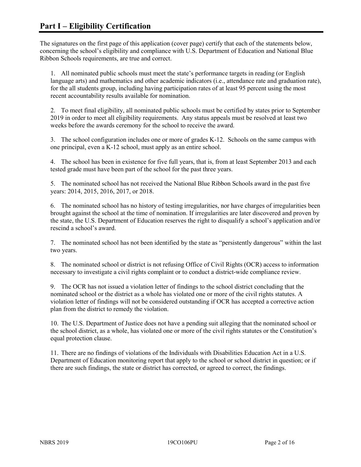The signatures on the first page of this application (cover page) certify that each of the statements below, concerning the school's eligibility and compliance with U.S. Department of Education and National Blue Ribbon Schools requirements, are true and correct.

1. All nominated public schools must meet the state's performance targets in reading (or English language arts) and mathematics and other academic indicators (i.e., attendance rate and graduation rate), for the all students group, including having participation rates of at least 95 percent using the most recent accountability results available for nomination.

2. To meet final eligibility, all nominated public schools must be certified by states prior to September 2019 in order to meet all eligibility requirements. Any status appeals must be resolved at least two weeks before the awards ceremony for the school to receive the award.

3. The school configuration includes one or more of grades K-12. Schools on the same campus with one principal, even a K-12 school, must apply as an entire school.

4. The school has been in existence for five full years, that is, from at least September 2013 and each tested grade must have been part of the school for the past three years.

5. The nominated school has not received the National Blue Ribbon Schools award in the past five years: 2014, 2015, 2016, 2017, or 2018.

6. The nominated school has no history of testing irregularities, nor have charges of irregularities been brought against the school at the time of nomination. If irregularities are later discovered and proven by the state, the U.S. Department of Education reserves the right to disqualify a school's application and/or rescind a school's award.

7. The nominated school has not been identified by the state as "persistently dangerous" within the last two years.

8. The nominated school or district is not refusing Office of Civil Rights (OCR) access to information necessary to investigate a civil rights complaint or to conduct a district-wide compliance review.

9. The OCR has not issued a violation letter of findings to the school district concluding that the nominated school or the district as a whole has violated one or more of the civil rights statutes. A violation letter of findings will not be considered outstanding if OCR has accepted a corrective action plan from the district to remedy the violation.

10. The U.S. Department of Justice does not have a pending suit alleging that the nominated school or the school district, as a whole, has violated one or more of the civil rights statutes or the Constitution's equal protection clause.

11. There are no findings of violations of the Individuals with Disabilities Education Act in a U.S. Department of Education monitoring report that apply to the school or school district in question; or if there are such findings, the state or district has corrected, or agreed to correct, the findings.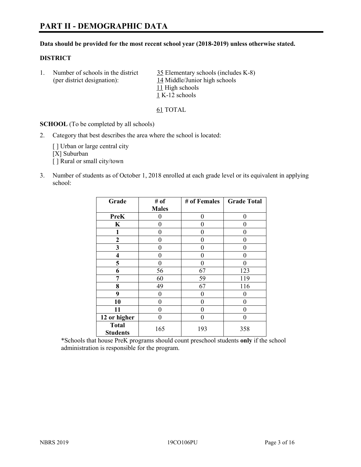# **PART II - DEMOGRAPHIC DATA**

#### **Data should be provided for the most recent school year (2018-2019) unless otherwise stated.**

#### **DISTRICT**

1. Number of schools in the district  $\frac{35}{25}$  Elementary schools (includes K-8) (per district designation): 14 Middle/Junior high schools 11 High schools 1 K-12 schools

61 TOTAL

**SCHOOL** (To be completed by all schools)

2. Category that best describes the area where the school is located:

[ ] Urban or large central city [X] Suburban [] Rural or small city/town

3. Number of students as of October 1, 2018 enrolled at each grade level or its equivalent in applying school:

| Grade                           | # of         | # of Females | <b>Grade Total</b> |
|---------------------------------|--------------|--------------|--------------------|
|                                 | <b>Males</b> |              |                    |
| <b>PreK</b>                     | 0            | $\theta$     | 0                  |
| $\mathbf K$                     | 0            | 0            | 0                  |
| 1                               | 0            | 0            | 0                  |
| $\mathbf{2}$                    | $\theta$     | 0            | 0                  |
| 3                               | 0            | 0            | 0                  |
| 4                               | $\theta$     | 0            | 0                  |
| 5                               | 0            | 0            | 0                  |
| 6                               | 56           | 67           | 123                |
| 7                               | 60           | 59           | 119                |
| 8                               | 49           | 67           | 116                |
| 9                               | 0            | $\theta$     | 0                  |
| 10                              | 0            | $\theta$     | 0                  |
| 11                              | 0            | 0            | 0                  |
| 12 or higher                    | $\theta$     | 0            | 0                  |
| <b>Total</b><br><b>Students</b> | 165          | 193          | 358                |

\*Schools that house PreK programs should count preschool students **only** if the school administration is responsible for the program.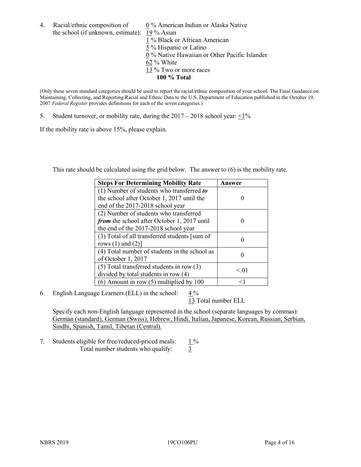4. Racial/ethnic composition of  $0\%$  American Indian or Alaska Native the school (if unknown, estimate): 19 % Asian

1 % Black or African American  $\frac{5}{5}$ % Hispanic or Latino 0 % Native Hawaiian or Other Pacific Islander 62 % White 13 % Two or more races **100 % Total**

(Only these seven standard categories should be used to report the racial/ethnic composition of your school. The Final Guidance on Maintaining, Collecting, and Reporting Racial and Ethnic Data to the U.S. Department of Education published in the October 19, 2007 *Federal Register* provides definitions for each of the seven categories.)

5. Student turnover, or mobility rate, during the  $2017 - 2018$  school year:  $\leq 1\%$ 

If the mobility rate is above 15%, please explain.

This rate should be calculated using the grid below. The answer to (6) is the mobility rate.

| <b>Steps For Determining Mobility Rate</b>    | Answer |
|-----------------------------------------------|--------|
| (1) Number of students who transferred to     |        |
| the school after October 1, 2017 until the    |        |
| end of the 2017-2018 school year              |        |
| (2) Number of students who transferred        |        |
| from the school after October 1, 2017 until   |        |
| the end of the 2017-2018 school year          |        |
| (3) Total of all transferred students [sum of |        |
| rows $(1)$ and $(2)$ ]                        |        |
| (4) Total number of students in the school as |        |
| of October 1, 2017                            |        |
| $(5)$ Total transferred students in row $(3)$ | < 01   |
| divided by total students in row (4)          |        |
| $(6)$ Amount in row $(5)$ multiplied by 100   | <1     |

6. English Language Learners (ELL) in the school:  $4\%$ 

13 Total number ELL

Specify each non-English language represented in the school (separate languages by commas): German (standard), German (Swiss), Hebrew, Hindi, Italian, Japanese, Korean, Russian, Serbian, Sindhi, Spanish, Tamil, Tibetan (Central).

7. Students eligible for free/reduced-priced meals:  $1\%$ Total number students who qualify:  $\frac{3}{5}$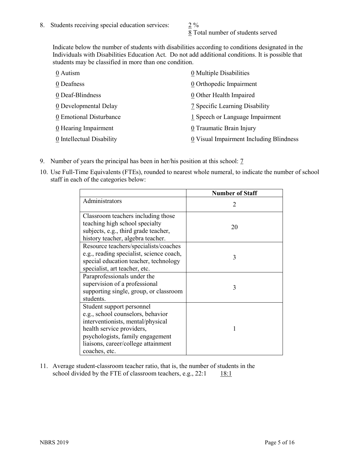8 Total number of students served

Indicate below the number of students with disabilities according to conditions designated in the Individuals with Disabilities Education Act. Do not add additional conditions. It is possible that students may be classified in more than one condition.

| 0 Autism                  | 0 Multiple Disabilities                 |
|---------------------------|-----------------------------------------|
| 0 Deafness                | 0 Orthopedic Impairment                 |
| 0 Deaf-Blindness          | 0 Other Health Impaired                 |
| 0 Developmental Delay     | 7 Specific Learning Disability          |
| 0 Emotional Disturbance   | 1 Speech or Language Impairment         |
| 0 Hearing Impairment      | 0 Traumatic Brain Injury                |
| 0 Intellectual Disability | 0 Visual Impairment Including Blindness |

- 9. Number of years the principal has been in her/his position at this school: 7
- 10. Use Full-Time Equivalents (FTEs), rounded to nearest whole numeral, to indicate the number of school staff in each of the categories below:

|                                                                                                                                                                                                                              | <b>Number of Staff</b>      |
|------------------------------------------------------------------------------------------------------------------------------------------------------------------------------------------------------------------------------|-----------------------------|
| Administrators                                                                                                                                                                                                               | $\mathcal{D}_{\mathcal{A}}$ |
| Classroom teachers including those<br>teaching high school specialty<br>subjects, e.g., third grade teacher,<br>history teacher, algebra teacher.                                                                            | 20                          |
| Resource teachers/specialists/coaches<br>e.g., reading specialist, science coach,<br>special education teacher, technology<br>specialist, art teacher, etc.                                                                  | 3                           |
| Paraprofessionals under the<br>supervision of a professional<br>supporting single, group, or classroom<br>students.                                                                                                          | 3                           |
| Student support personnel<br>e.g., school counselors, behavior<br>interventionists, mental/physical<br>health service providers,<br>psychologists, family engagement<br>liaisons, career/college attainment<br>coaches, etc. |                             |

11. Average student-classroom teacher ratio, that is, the number of students in the school divided by the FTE of classroom teachers, e.g.,  $22:1$  18:1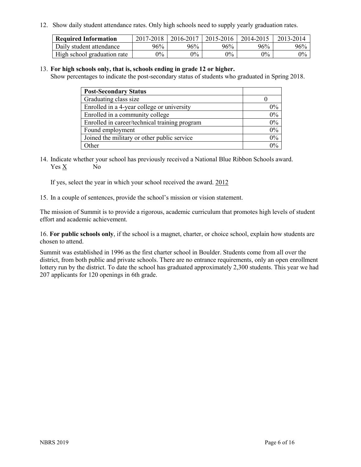12. Show daily student attendance rates. Only high schools need to supply yearly graduation rates.

| <b>Required Information</b> | 2017-2018 | 2016-2017 | 2015-2016 | 2014-2015 | 2013-2014 |
|-----------------------------|-----------|-----------|-----------|-----------|-----------|
| Daily student attendance    | 96%       | 96%       | 96%       | 96%       | 96%       |
| High school graduation rate | $0\%$     | $0\%$     | $0\%$     | $9\%$     | $0\%$     |

#### 13. **For high schools only, that is, schools ending in grade 12 or higher.**

Show percentages to indicate the post-secondary status of students who graduated in Spring 2018.

| <b>Post-Secondary Status</b>                  |       |
|-----------------------------------------------|-------|
| Graduating class size                         |       |
| Enrolled in a 4-year college or university    | $0\%$ |
| Enrolled in a community college               | 0%    |
| Enrolled in career/technical training program | 0%    |
| Found employment                              | 0%    |
| Joined the military or other public service   | 0%    |
| Other                                         | $0\%$ |

14. Indicate whether your school has previously received a National Blue Ribbon Schools award. Yes X No

If yes, select the year in which your school received the award. 2012

15. In a couple of sentences, provide the school's mission or vision statement.

The mission of Summit is to provide a rigorous, academic curriculum that promotes high levels of student effort and academic achievement.

16. **For public schools only**, if the school is a magnet, charter, or choice school, explain how students are chosen to attend.

Summit was established in 1996 as the first charter school in Boulder. Students come from all over the district, from both public and private schools. There are no entrance requirements, only an open enrollment lottery run by the district. To date the school has graduated approximately 2,300 students. This year we had 207 applicants for 120 openings in 6th grade.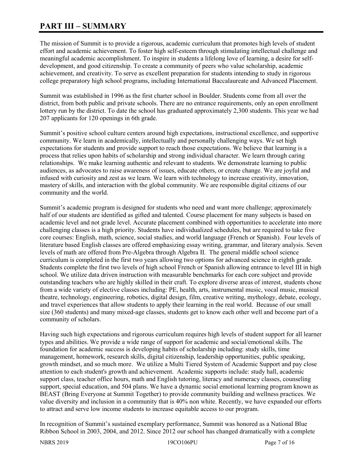# **PART III – SUMMARY**

The mission of Summit is to provide a rigorous, academic curriculum that promotes high levels of student effort and academic achievement. To foster high self-esteem through stimulating intellectual challenge and meaningful academic accomplishment. To inspire in students a lifelong love of learning, a desire for selfdevelopment, and good citizenship. To create a community of peers who value scholarship, academic achievement, and creativity. To serve as excellent preparation for students intending to study in rigorous college preparatory high school programs, including International Baccalaureate and Advanced Placement.

Summit was established in 1996 as the first charter school in Boulder. Students come from all over the district, from both public and private schools. There are no entrance requirements, only an open enrollment lottery run by the district. To date the school has graduated approximately 2,300 students. This year we had 207 applicants for 120 openings in 6th grade.

Summit's positive school culture centers around high expectations, instructional excellence, and supportive community. We learn in academically, intellectually and personally challenging ways. We set high expectations for students and provide support to reach those expectations. We believe that learning is a process that relies upon habits of scholarship and strong individual character. We learn through caring relationships. We make learning authentic and relevant to students. We demonstrate learning to public audiences, as advocates to raise awareness of issues, educate others, or create change. We are joyful and infused with curiosity and zest as we learn. We learn with technology to increase creativity, innovation, mastery of skills, and interaction with the global community. We are responsible digital citizens of our community and the world.

Summit's academic program is designed for students who need and want more challenge; approximately half of our students are identified as gifted and talented. Course placement for many subjects is based on academic level and not grade level. Accurate placement combined with opportunities to accelerate into more challenging classes is a high priority. Students have individualized schedules, but are required to take five core courses: English, math, science, social studies, and world language (French or Spanish). Four levels of literature based English classes are offered emphasizing essay writing, grammar, and literary analysis. Seven levels of math are offered from Pre-Algebra through Algebra II. The general middle school science curriculum is completed in the first two years allowing two options for advanced science in eighth grade. Students complete the first two levels of high school French or Spanish allowing entrance to level III in high school. We utilize data driven instruction with measurable benchmarks for each core subject and provide outstanding teachers who are highly skilled in their craft. To explore diverse areas of interest, students chose from a wide variety of elective classes including: PE, health, arts, instrumental music, vocal music, musical theatre, technology, engineering, robotics, digital design, film, creative writing, mythology, debate, ecology, and travel experiences that allow students to apply their learning in the real world. Because of our small size (360 students) and many mixed-age classes, students get to know each other well and become part of a community of scholars.

Having such high expectations and rigorous curriculum requires high levels of student support for all learner types and abilities. We provide a wide range of support for academic and social/emotional skills. The foundation for academic success is developing habits of scholarship including: study skills, time management, homework, research skills, digital citizenship, leadership opportunities, public speaking, growth mindset, and so much more. We utilize a Multi Tiered System of Academic Support and pay close attention to each student's growth and achievement. Academic supports include: study hall, academic support class, teacher office hours, math and English tutoring, literacy and numeracy classes, counseling support, special education, and 504 plans. We have a dynamic social emotional learning program known as BEAST (Bring Everyone at Summit Together) to provide community building and wellness practices. We value diversity and inclusion in a community that is 40% non white. Recently, we have expanded our efforts to attract and serve low income students to increase equitable access to our program.

In recognition of Summit's sustained exemplary performance, Summit was honored as a National Blue Ribbon School in 2003, 2004, and 2012. Since 2012 our school has changed dramatically with a complete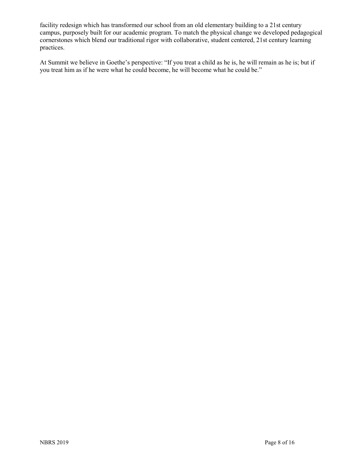facility redesign which has transformed our school from an old elementary building to a 21st century campus, purposely built for our academic program. To match the physical change we developed pedagogical cornerstones which blend our traditional rigor with collaborative, student centered, 21st century learning practices.

At Summit we believe in Goethe's perspective: "If you treat a child as he is, he will remain as he is; but if you treat him as if he were what he could become, he will become what he could be."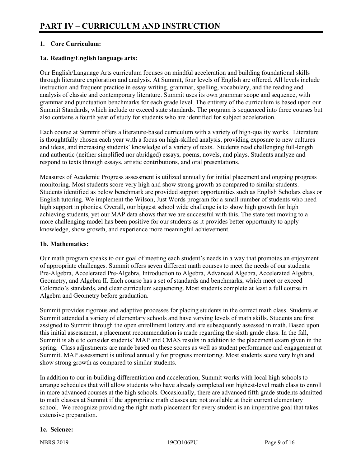# **1. Core Curriculum:**

## **1a. Reading/English language arts:**

Our English/Language Arts curriculum focuses on mindful acceleration and building foundational skills through literature exploration and analysis. At Summit, four levels of English are offered. All levels include instruction and frequent practice in essay writing, grammar, spelling, vocabulary, and the reading and analysis of classic and contemporary literature. Summit uses its own grammar scope and sequence, with grammar and punctuation benchmarks for each grade level. The entirety of the curriculum is based upon our Summit Standards, which include or exceed state standards. The program is sequenced into three courses but also contains a fourth year of study for students who are identified for subject acceleration.

Each course at Summit offers a literature-based curriculum with a variety of high-quality works. Literature is thoughtfully chosen each year with a focus on high-skilled analysis, providing exposure to new cultures and ideas, and increasing students' knowledge of a variety of texts. Students read challenging full-length and authentic (neither simplified nor abridged) essays, poems, novels, and plays. Students analyze and respond to texts through essays, artistic contributions, and oral presentations.

Measures of Academic Progress assessment is utilized annually for initial placement and ongoing progress monitoring. Most students score very high and show strong growth as compared to similar students. Students identified as below benchmark are provided support opportunities such as English Scholars class or English tutoring. We implement the Wilson, Just Words program for a small number of students who need high support in phonics. Overall, our biggest school wide challenge is to show high growth for high achieving students, yet our MAP data shows that we are successful with this. The state test moving to a more challenging model has been positive for our students as it provides better opportunity to apply knowledge, show growth, and experience more meaningful achievement.

#### **1b. Mathematics:**

Our math program speaks to our goal of meeting each student's needs in a way that promotes an enjoyment of appropriate challenges. Summit offers seven different math courses to meet the needs of our students: Pre-Algebra, Accelerated Pre-Algebra, Introduction to Algebra, Advanced Algebra, Accelerated Algebra, Geometry, and Algebra II. Each course has a set of standards and benchmarks, which meet or exceed Colorado's standards, and clear curriculum sequencing. Most students complete at least a full course in Algebra and Geometry before graduation.

Summit provides rigorous and adaptive processes for placing students in the correct math class. Students at Summit attended a variety of elementary schools and have varying levels of math skills. Students are first assigned to Summit through the open enrollment lottery and are subsequently assessed in math. Based upon this initial assessment, a placement recommendation is made regarding the sixth grade class. In the fall, Summit is able to consider students' MAP and CMAS results in addition to the placement exam given in the spring. Class adjustments are made based on these scores as well as student performance and engagement at Summit. MAP assessment is utilized annually for progress monitoring. Most students score very high and show strong growth as compared to similar students.

In addition to our in-building differentiation and acceleration, Summit works with local high schools to arrange schedules that will allow students who have already completed our highest-level math class to enroll in more advanced courses at the high schools. Occasionally, there are advanced fifth grade students admitted to math classes at Summit if the appropriate math classes are not available at their current elementary school. We recognize providing the right math placement for every student is an imperative goal that takes extensive preparation.

# **1c. Science:**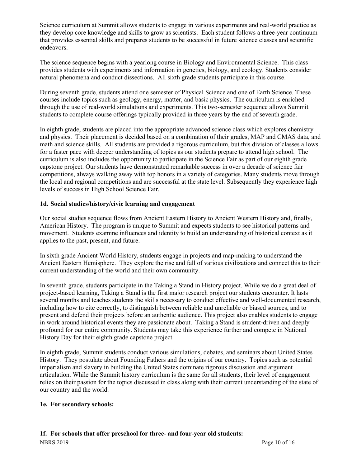Science curriculum at Summit allows students to engage in various experiments and real-world practice as they develop core knowledge and skills to grow as scientists. Each student follows a three-year continuum that provides essential skills and prepares students to be successful in future science classes and scientific endeavors.

The science sequence begins with a yearlong course in Biology and Environmental Science. This class provides students with experiments and information in genetics, biology, and ecology. Students consider natural phenomena and conduct dissections. All sixth grade students participate in this course.

During seventh grade, students attend one semester of Physical Science and one of Earth Science. These courses include topics such as geology, energy, matter, and basic physics. The curriculum is enriched through the use of real-world simulations and experiments. This two-semester sequence allows Summit students to complete course offerings typically provided in three years by the end of seventh grade.

In eighth grade, students are placed into the appropriate advanced science class which explores chemistry and physics. Their placement is decided based on a combination of their grades, MAP and CMAS data, and math and science skills. All students are provided a rigorous curriculum, but this division of classes allows for a faster pace with deeper understanding of topics as our students prepare to attend high school. The curriculum is also includes the opportunity to participate in the Science Fair as part of our eighth grade capstone project. Our students have demonstrated remarkable success in over a decade of science fair competitions, always walking away with top honors in a variety of categories. Many students move through the local and regional competitions and are successful at the state level. Subsequently they experience high levels of success in High School Science Fair.

# **1d. Social studies/history/civic learning and engagement**

Our social studies sequence flows from Ancient Eastern History to Ancient Western History and, finally, American History. The program is unique to Summit and expects students to see historical patterns and movement. Students examine influences and identity to build an understanding of historical context as it applies to the past, present, and future.

In sixth grade Ancient World History, students engage in projects and map-making to understand the Ancient Eastern Hemisphere. They explore the rise and fall of various civilizations and connect this to their current understanding of the world and their own community.

In seventh grade, students participate in the Taking a Stand in History project. While we do a great deal of project-based learning, Taking a Stand is the first major research project our students encounter. It lasts several months and teaches students the skills necessary to conduct effective and well-documented research, including how to cite correctly, to distinguish between reliable and unreliable or biased sources, and to present and defend their projects before an authentic audience. This project also enables students to engage in work around historical events they are passionate about. Taking a Stand is student-driven and deeply profound for our entire community. Students may take this experience further and compete in National History Day for their eighth grade capstone project.

In eighth grade, Summit students conduct various simulations, debates, and seminars about United States History. They postulate about Founding Fathers and the origins of our country. Topics such as potential imperialism and slavery in building the United States dominate rigorous discussion and argument articulation. While the Summit history curriculum is the same for all students, their level of engagement relies on their passion for the topics discussed in class along with their current understanding of the state of our country and the world.

#### **1e. For secondary schools:**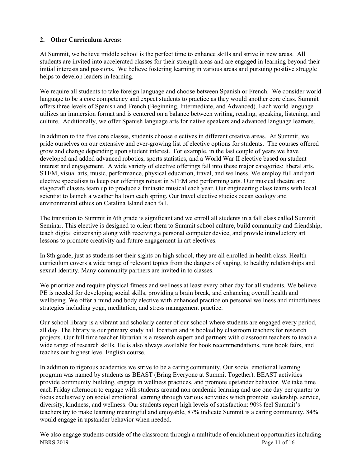# **2. Other Curriculum Areas:**

At Summit, we believe middle school is the perfect time to enhance skills and strive in new areas. All students are invited into accelerated classes for their strength areas and are engaged in learning beyond their initial interests and passions. We believe fostering learning in various areas and pursuing positive struggle helps to develop leaders in learning.

We require all students to take foreign language and choose between Spanish or French. We consider world language to be a core competency and expect students to practice as they would another core class. Summit offers three levels of Spanish and French (Beginning, Intermediate, and Advanced). Each world language utilizes an immersion format and is centered on a balance between writing, reading, speaking, listening, and culture. Additionally, we offer Spanish language arts for native speakers and advanced language learners.

In addition to the five core classes, students choose electives in different creative areas. At Summit, we pride ourselves on our extensive and ever-growing list of elective options for students. The courses offered grow and change depending upon student interest. For example, in the last couple of years we have developed and added advanced robotics, sports statistics, and a World War II elective based on student interest and engagement. A wide variety of elective offerings fall into these major categories: liberal arts, STEM, visual arts, music, performance, physical education, travel, and wellness. We employ full and part elective specialists to keep our offerings robust in STEM and performing arts. Our musical theatre and stagecraft classes team up to produce a fantastic musical each year. Our engineering class teams with local scientist to launch a weather balloon each spring. Our travel elective studies ocean ecology and environmental ethics on Catalina Island each fall.

The transition to Summit in 6th grade is significant and we enroll all students in a fall class called Summit Seminar. This elective is designed to orient them to Summit school culture, build community and friendship, teach digital citizenship along with receiving a personal computer device, and provide introductory art lessons to promote creativity and future engagement in art electives.

In 8th grade, just as students set their sights on high school, they are all enrolled in health class. Health curriculum covers a wide range of relevant topics from the dangers of vaping, to healthy relationships and sexual identity. Many community partners are invited in to classes.

We prioritize and require physical fitness and wellness at least every other day for all students. We believe PE is needed for developing social skills, providing a brain break, and enhancing overall health and wellbeing. We offer a mind and body elective with enhanced practice on personal wellness and mindfulness strategies including yoga, meditation, and stress management practice.

Our school library is a vibrant and scholarly center of our school where students are engaged every period, all day. The library is our primary study hall location and is booked by classroom teachers for research projects. Our full time teacher librarian is a research expert and partners with classroom teachers to teach a wide range of research skills. He is also always available for book recommendations, runs book fairs, and teaches our highest level English course.

In addition to rigorous academics we strive to be a caring community. Our social emotional learning program was named by students as BEAST (Bring Everyone at Summit Together). BEAST activities provide community building, engage in wellness practices, and promote upstander behavior. We take time each Friday afternoon to engage with students around non academic learning and use one day per quarter to focus exclusively on social emotional learning through various activities which promote leadership, service, diversity, kindness, and wellness. Our students report high levels of satisfaction: 90% feel Summit's teachers try to make learning meaningful and enjoyable, 87% indicate Summit is a caring community, 84% would engage in upstander behavior when needed.

NBRS 2019 Page 11 of 16 We also engage students outside of the classroom through a multitude of enrichment opportunities including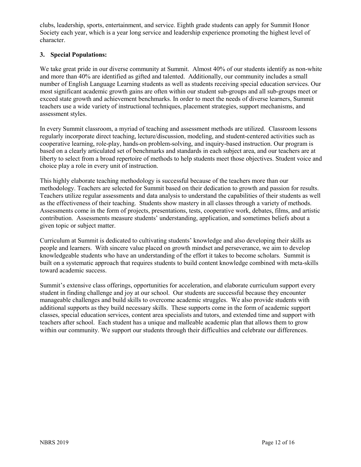clubs, leadership, sports, entertainment, and service. Eighth grade students can apply for Summit Honor Society each year, which is a year long service and leadership experience promoting the highest level of character.

## **3. Special Populations:**

We take great pride in our diverse community at Summit. Almost 40% of our students identify as non-white and more than 40% are identified as gifted and talented. Additionally, our community includes a small number of English Language Learning students as well as students receiving special education services. Our most significant academic growth gains are often within our student sub-groups and all sub-groups meet or exceed state growth and achievement benchmarks. In order to meet the needs of diverse learners, Summit teachers use a wide variety of instructional techniques, placement strategies, support mechanisms, and assessment styles.

In every Summit classroom, a myriad of teaching and assessment methods are utilized. Classroom lessons regularly incorporate direct teaching, lecture/discussion, modeling, and student-centered activities such as cooperative learning, role-play, hands-on problem-solving, and inquiry-based instruction. Our program is based on a clearly articulated set of benchmarks and standards in each subject area, and our teachers are at liberty to select from a broad repertoire of methods to help students meet those objectives. Student voice and choice play a role in every unit of instruction.

This highly elaborate teaching methodology is successful because of the teachers more than our methodology. Teachers are selected for Summit based on their dedication to growth and passion for results. Teachers utilize regular assessments and data analysis to understand the capabilities of their students as well as the effectiveness of their teaching. Students show mastery in all classes through a variety of methods. Assessments come in the form of projects, presentations, tests, cooperative work, debates, films, and artistic contribution. Assessments measure students' understanding, application, and sometimes beliefs about a given topic or subject matter.

Curriculum at Summit is dedicated to cultivating students' knowledge and also developing their skills as people and learners. With sincere value placed on growth mindset and perseverance, we aim to develop knowledgeable students who have an understanding of the effort it takes to become scholars. Summit is built on a systematic approach that requires students to build content knowledge combined with meta-skills toward academic success.

Summit's extensive class offerings, opportunities for acceleration, and elaborate curriculum support every student in finding challenge and joy at our school. Our students are successful because they encounter manageable challenges and build skills to overcome academic struggles. We also provide students with additional supports as they build necessary skills. These supports come in the form of academic support classes, special education services, content area specialists and tutors, and extended time and support with teachers after school. Each student has a unique and malleable academic plan that allows them to grow within our community. We support our students through their difficulties and celebrate our differences.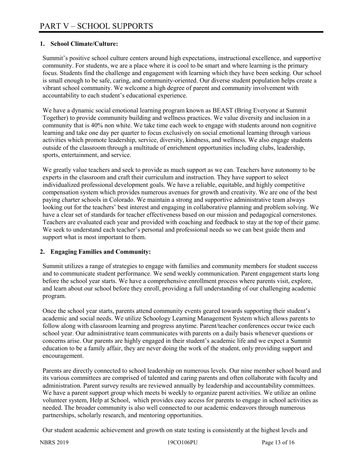## **1. School Climate/Culture:**

Summit's positive school culture centers around high expectations, instructional excellence, and supportive community. For students, we are a place where it is cool to be smart and where learning is the primary focus. Students find the challenge and engagement with learning which they have been seeking. Our school is small enough to be safe, caring, and community-oriented. Our diverse student population helps create a vibrant school community. We welcome a high degree of parent and community involvement with accountability to each student's educational experience.

We have a dynamic social emotional learning program known as BEAST (Bring Everyone at Summit Together) to provide community building and wellness practices. We value diversity and inclusion in a community that is 40% non white. We take time each week to engage with students around non cognitive learning and take one day per quarter to focus exclusively on social emotional learning through various activities which promote leadership, service, diversity, kindness, and wellness. We also engage students outside of the classroom through a multitude of enrichment opportunities including clubs, leadership, sports, entertainment, and service.

We greatly value teachers and seek to provide as much support as we can. Teachers have autonomy to be experts in the classroom and craft their curriculum and instruction. They have support to select individualized professional development goals. We have a reliable, equitable, and highly competitive compensation system which provides numerous avenues for growth and creativity. We are one of the best paying charter schools in Colorado. We maintain a strong and supportive administrative team always looking out for the teachers' best interest and engaging in collaborative planning and problem solving. We have a clear set of standards for teacher effectiveness based on our mission and pedagogical cornerstones. Teachers are evaluated each year and provided with coaching and feedback to stay at the top of their game. We seek to understand each teacher's personal and professional needs so we can best guide them and support what is most important to them.

#### **2. Engaging Families and Community:**

Summit utilizes a range of strategies to engage with families and community members for student success and to communicate student performance. We send weekly communication. Parent engagement starts long before the school year starts. We have a comprehensive enrollment process where parents visit, explore, and learn about our school before they enroll, providing a full understanding of our challenging academic program.

Once the school year starts, parents attend community events geared towards supporting their student's academic and social needs. We utilize Schoology Learning Management System which allows parents to follow along with classroom learning and progress anytime. Parent/teacher conferences occur twice each school year. Our administrative team communicates with parents on a daily basis whenever questions or concerns arise. Our parents are highly engaged in their student's academic life and we expect a Summit education to be a family affair, they are never doing the work of the student, only providing support and encouragement.

Parents are directly connected to school leadership on numerous levels. Our nine member school board and its various committees are comprised of talented and caring parents and often collaborate with faculty and administration. Parent survey results are reviewed annually by leadership and accountability committees. We have a parent support group which meets bi weekly to organize parent activities. We utilize an online volunteer system, Help at School, which provides easy access for parents to engage in school activities as needed. The broader community is also well connected to our academic endeavors through numerous partnerships, scholarly research, and mentoring opportunities.

Our student academic achievement and growth on state testing is consistently at the highest levels and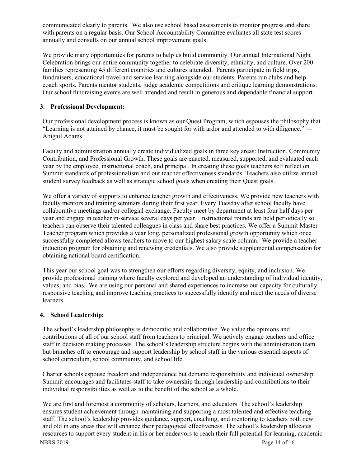communicated clearly to parents. We also use school based assessments to monitor progress and share with parents on a regular basis. Our School Accountability Committee evaluates all state test scores annually and consults on our annual school improvement goals.

We provide many opportunities for parents to help us build community. Our annual International Night Celebration brings our entire community together to celebrate diversity, ethnicity, and culture. Over 200 families representing 45 different countries and cultures attended. Parents participate in field trips, fundraisers, educational travel and service learning alongside our students. Parents run clubs and help coach sports. Parents mentor students, judge academic competitions and critique learning demonstrations. Our school fundraising events are well attended and result in generous and dependable financial support.

## **3. Professional Development:**

Our professional development process is known as our Quest Program, which espouses the philosophy that "Learning is not attained by chance, it must be sought for with ardor and attended to with diligence." ― Abigail Adams

Faculty and administration annually create individualized goals in three key areas: Instruction, Community Contribution, and Professional Growth. These goals are enacted, measured, supported, and evaluated each year by the employee, instructional coach, and principal. In creating these goals teachers self reflect on Summit standards of professionalism and our teacher effectiveness standards. Teachers also utilize annual student survey feedback as well as strategic school goals when creating their Quest goals.

We offer a variety of supports to enhance teacher growth and effectiveness. We provide new teachers with faculty mentors and training seminars during their first year. Every Tuesday after school faculty have collaborative meetings and/or collegial exchange. Faculty meet by department at least four half days per year and engage in teacher in-service several days per year. Instructional rounds are held periodically so teachers can observe their talented colleagues in class and share best practices. We offer a Summit Master Teacher program which provides a year long, personalized professional growth opportunity which once successfully completed allows teachers to move to our highest salary scale column. We provide a teacher induction program for obtaining and renewing credentials. We also provide supplemental compensation for obtaining national board certification.

This year our school goal was to strengthen our efforts regarding diversity, equity, and inclusion. We provide professional training where faculty explored and developed an understanding of individual identity, values, and bias. We are using our personal and shared experiences to increase our capacity for culturally responsive teaching and improve teaching practices to successfully identify and meet the needs of diverse learners.

#### **4. School Leadership:**

The school's leadership philosophy is democratic and collaborative. We value the opinions and contributions of all of our school staff from teachers to principal. We actively engage teachers and office staff in decision making processes. The school's leadership structure begins with the administration team but branches off to encourage and support leadership by school staff in the various essential aspects of school curriculum, school community, and school life.

Charter schools espouse freedom and independence but demand responsibility and individual ownership. Summit encourages and facilitates staff to take ownership through leadership and contributions to their individual responsibilities as well as to the benefit of the school as a whole.

NBRS 2019 Page 14 of 16 We are first and foremost a community of scholars, learners, and educators. The school's leadership ensures student achievement through maintaining and supporting a most talented and effective teaching staff. The school's leadership provides guidance, support, coaching, and mentoring to teachers both new and old in any areas that will enhance their pedagogical effectiveness. The school's leadership allocates resources to support every student in his or her endeavors to reach their full potential for learning, academic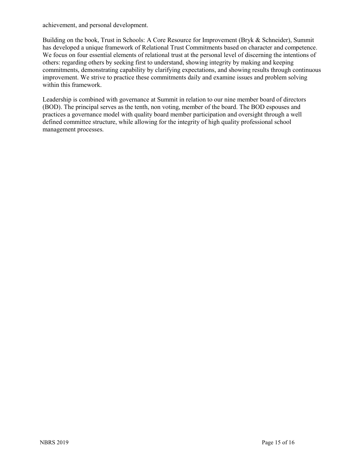achievement, and personal development.

Building on the book, Trust in Schools: A Core Resource for Improvement (Bryk & Schneider), Summit has developed a unique framework of Relational Trust Commitments based on character and competence. We focus on four essential elements of relational trust at the personal level of discerning the intentions of others: regarding others by seeking first to understand, showing integrity by making and keeping commitments, demonstrating capability by clarifying expectations, and showing results through continuous improvement. We strive to practice these commitments daily and examine issues and problem solving within this framework.

Leadership is combined with governance at Summit in relation to our nine member board of directors (BOD). The principal serves as the tenth, non voting, member of the board. The BOD espouses and practices a governance model with quality board member participation and oversight through a well defined committee structure, while allowing for the integrity of high quality professional school management processes.